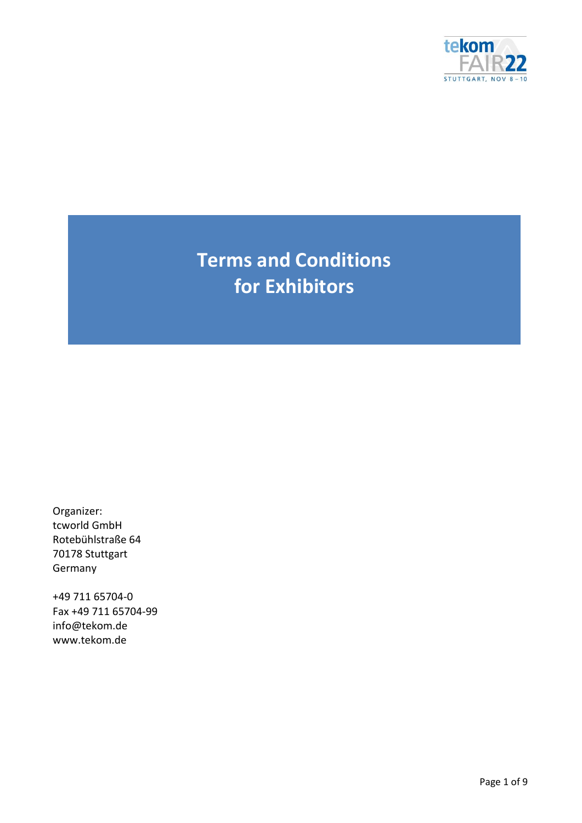

**Terms and Conditions for Exhibitors**

Organizer: tcworld GmbH Rotebühlstraße 64 70178 Stuttgart Germany

+49 711 65704-0 Fax +49 711 65704-99 info@tekom.de www.tekom.de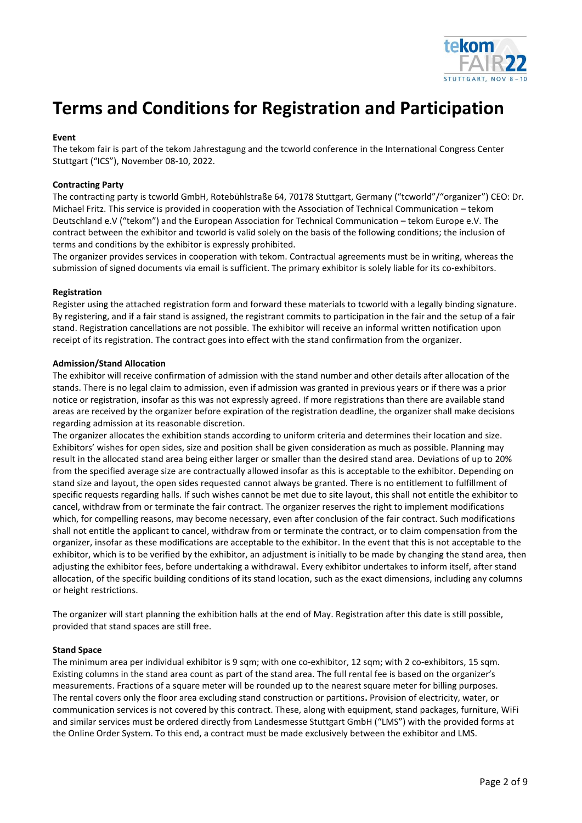

# **Terms and Conditions for Registration and Participation**

## **Event**

The tekom fair is part of the tekom Jahrestagung and the tcworld conference in the International Congress Center Stuttgart ("ICS"), November 08-10, 2022.

## **Contracting Party**

The contracting party is tcworld GmbH, Rotebühlstraße 64, 70178 Stuttgart, Germany ("tcworld"/"organizer") CEO: Dr. Michael Fritz. This service is provided in cooperation with the Association of Technical Communication – tekom Deutschland e.V ("tekom") and the European Association for Technical Communication – tekom Europe e.V. The contract between the exhibitor and tcworld is valid solely on the basis of the following conditions; the inclusion of terms and conditions by the exhibitor is expressly prohibited.

The organizer provides services in cooperation with tekom. Contractual agreements must be in writing, whereas the submission of signed documents via email is sufficient. The primary exhibitor is solely liable for its co-exhibitors.

#### **Registration**

Register using the attached registration form and forward these materials to tcworld with a legally binding signature. By registering, and if a fair stand is assigned, the registrant commits to participation in the fair and the setup of a fair stand. Registration cancellations are not possible. The exhibitor will receive an informal written notification upon receipt of its registration. The contract goes into effect with the stand confirmation from the organizer.

#### **Admission/Stand Allocation**

The exhibitor will receive confirmation of admission with the stand number and other details after allocation of the stands. There is no legal claim to admission, even if admission was granted in previous years or if there was a prior notice or registration, insofar as this was not expressly agreed. If more registrations than there are available stand areas are received by the organizer before expiration of the registration deadline, the organizer shall make decisions regarding admission at its reasonable discretion.

The organizer allocates the exhibition stands according to uniform criteria and determines their location and size. Exhibitors' wishes for open sides, size and position shall be given consideration as much as possible. Planning may result in the allocated stand area being either larger or smaller than the desired stand area. Deviations of up to 20% from the specified average size are contractually allowed insofar as this is acceptable to the exhibitor. Depending on stand size and layout, the open sides requested cannot always be granted. There is no entitlement to fulfillment of specific requests regarding halls. If such wishes cannot be met due to site layout, this shall not entitle the exhibitor to cancel, withdraw from or terminate the fair contract. The organizer reserves the right to implement modifications which, for compelling reasons, may become necessary, even after conclusion of the fair contract. Such modifications shall not entitle the applicant to cancel, withdraw from or terminate the contract, or to claim compensation from the organizer, insofar as these modifications are acceptable to the exhibitor. In the event that this is not acceptable to the exhibitor, which is to be verified by the exhibitor, an adjustment is initially to be made by changing the stand area, then adjusting the exhibitor fees, before undertaking a withdrawal. Every exhibitor undertakes to inform itself, after stand allocation, of the specific building conditions of its stand location, such as the exact dimensions, including any columns or height restrictions.

The organizer will start planning the exhibition halls at the end of May. Registration after this date is still possible, provided that stand spaces are still free.

#### **Stand Space**

The minimum area per individual exhibitor is 9 sqm; with one co-exhibitor, 12 sqm; with 2 co-exhibitors, 15 sqm. Existing columns in the stand area count as part of the stand area. The full rental fee is based on the organizer's measurements. Fractions of a square meter will be rounded up to the nearest square meter for billing purposes. The rental covers only the floor area excluding stand construction or partitions**.** Provision of electricity, water, or communication services is not covered by this contract. These, along with equipment, stand packages, furniture, WiFi and similar services must be ordered directly from Landesmesse Stuttgart GmbH ("LMS") with the provided forms at the Online Order System. To this end, a contract must be made exclusively between the exhibitor and LMS.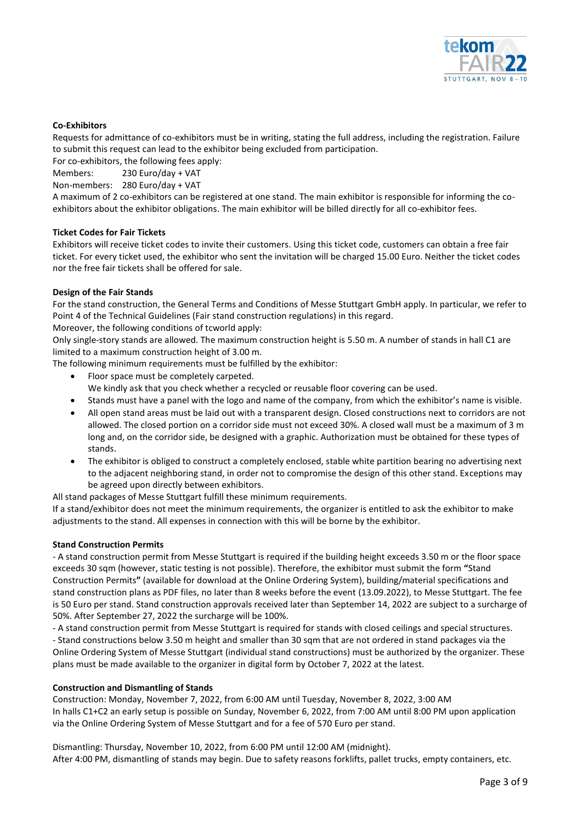

## **Co-Exhibitors**

Requests for admittance of co-exhibitors must be in writing, stating the full address, including the registration. Failure to submit this request can lead to the exhibitor being excluded from participation.

For co-exhibitors, the following fees apply:

Members: 230 Euro/day + VAT

Non-members: 280 Euro/day + VAT

A maximum of 2 co-exhibitors can be registered at one stand. The main exhibitor is responsible for informing the coexhibitors about the exhibitor obligations. The main exhibitor will be billed directly for all co-exhibitor fees.

#### **Ticket Codes for Fair Tickets**

Exhibitors will receive ticket codes to invite their customers. Using this ticket code, customers can obtain a free fair ticket. For every ticket used, the exhibitor who sent the invitation will be charged 15.00 Euro. Neither the ticket codes nor the free fair tickets shall be offered for sale.

## **Design of the Fair Stands**

For the stand construction, the General Terms and Conditions of Messe Stuttgart GmbH apply. In particular, we refer to Point 4 of the Technical Guidelines (Fair stand construction regulations) in this regard.

Moreover, the following conditions of tcworld apply:

Only single-story stands are allowed. The maximum construction height is 5.50 m. A number of stands in hall C1 are limited to a maximum construction height of 3.00 m.

The following minimum requirements must be fulfilled by the exhibitor:

- Floor space must be completely carpeted.
- We kindly ask that you check whether a recycled or reusable floor covering can be used.
- Stands must have a panel with the logo and name of the company, from which the exhibitor's name is visible.
- All open stand areas must be laid out with a transparent design. Closed constructions next to corridors are not allowed. The closed portion on a corridor side must not exceed 30%. A closed wall must be a maximum of 3 m long and, on the corridor side, be designed with a graphic. Authorization must be obtained for these types of stands.
- The exhibitor is obliged to construct a completely enclosed, stable white partition bearing no advertising next to the adjacent neighboring stand, in order not to compromise the design of this other stand. Exceptions may be agreed upon directly between exhibitors.

All stand packages of Messe Stuttgart fulfill these minimum requirements.

If a stand/exhibitor does not meet the minimum requirements, the organizer is entitled to ask the exhibitor to make adjustments to the stand. All expenses in connection with this will be borne by the exhibitor.

# **Stand Construction Permits**

- A stand construction permit from Messe Stuttgart is required if the building height exceeds 3.50 m or the floor space exceeds 30 sqm (however, static testing is not possible). Therefore, the exhibitor must submit the form **"**Stand Construction Permits**"** (available for download at the Online Ordering System), building/material specifications and stand construction plans as PDF files, no later than 8 weeks before the event (13.09.2022), to Messe Stuttgart. The fee is 50 Euro per stand. Stand construction approvals received later than September 14, 2022 are subject to a surcharge of 50%. After September 27, 2022 the surcharge will be 100%.

- A stand construction permit from Messe Stuttgart is required for stands with closed ceilings and special structures. - Stand constructions below 3.50 m height and smaller than 30 sqm that are not ordered in stand packages via the Online Ordering System of Messe Stuttgart (individual stand constructions) must be authorized by the organizer. These plans must be made available to the organizer in digital form by October 7, 2022 at the latest.

#### **Construction and Dismantling of Stands**

Construction: Monday, November 7, 2022, from 6:00 AM until Tuesday, November 8, 2022, 3:00 AM In halls C1+C2 an early setup is possible on Sunday, November 6, 2022, from 7:00 AM until 8:00 PM upon application via the Online Ordering System of Messe Stuttgart and for a fee of 570 Euro per stand.

Dismantling: Thursday, November 10, 2022, from 6:00 PM until 12:00 AM (midnight). After 4:00 PM, dismantling of stands may begin. Due to safety reasons forklifts, pallet trucks, empty containers, etc.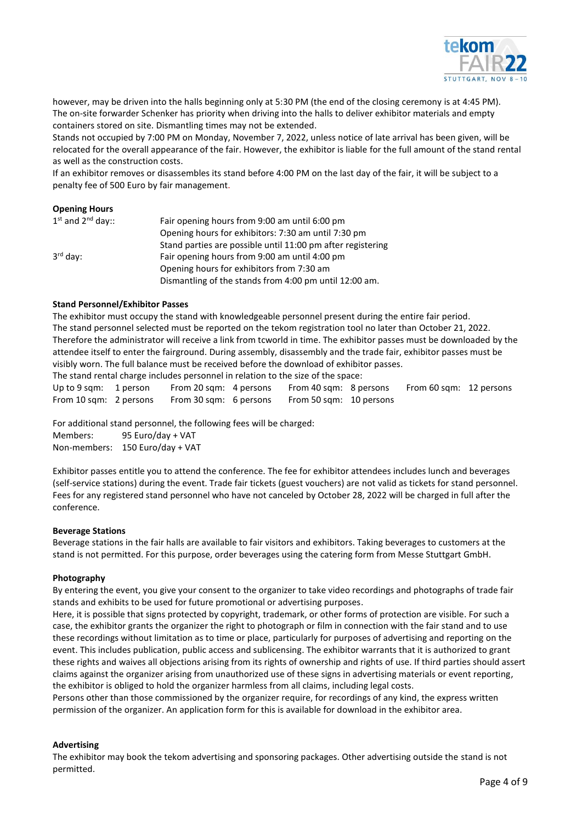

however, may be driven into the halls beginning only at 5:30 PM (the end of the closing ceremony is at 4:45 PM). The on-site forwarder Schenker has priority when driving into the halls to deliver exhibitor materials and empty containers stored on site. Dismantling times may not be extended.

Stands not occupied by 7:00 PM on Monday, November 7, 2022, unless notice of late arrival has been given, will be relocated for the overall appearance of the fair. However, the exhibitor is liable for the full amount of the stand rental as well as the construction costs.

If an exhibitor removes or disassembles its stand before 4:00 PM on the last day of the fair, it will be subject to a penalty fee of 500 Euro by fair management.

# **Opening Hours**

| $1^{st}$ and $2^{nd}$ day:: | Fair opening hours from 9:00 am until 6:00 pm               |
|-----------------------------|-------------------------------------------------------------|
|                             | Opening hours for exhibitors: 7:30 am until 7:30 pm         |
|                             | Stand parties are possible until 11:00 pm after registering |
| $3rd$ day:                  | Fair opening hours from 9:00 am until 4:00 pm               |
|                             | Opening hours for exhibitors from 7:30 am                   |
|                             | Dismantling of the stands from 4:00 pm until 12:00 am.      |

# **Stand Personnel/Exhibitor Passes**

The exhibitor must occupy the stand with knowledgeable personnel present during the entire fair period. The stand personnel selected must be reported on the tekom registration tool no later than October 21, 2022. Therefore the administrator will receive a link from tcworld in time. The exhibitor passes must be downloaded by the attendee itself to enter the fairground. During assembly, disassembly and the trade fair, exhibitor passes must be visibly worn. The full balance must be received before the download of exhibitor passes.

The stand rental charge includes personnel in relation to the size of the space:

Up to 9 sqm: 1 person From 20 sqm: 4 persons From 40 sqm: 8 persons From 60 sqm: 12 persons From 10 sqm: 2 persons From 30 sqm: 6 persons From 50 sqm: 10 persons

For additional stand personnel, the following fees will be charged:

Members: 95 Euro/day + VAT Non-members: 150 Euro/day + VAT

Exhibitor passes entitle you to attend the conference. The fee for exhibitor attendees includes lunch and beverages (self-service stations) during the event. Trade fair tickets (guest vouchers) are not valid as tickets for stand personnel. Fees for any registered stand personnel who have not canceled by October 28, 2022 will be charged in full after the conference.

# **Beverage Stations**

Beverage stations in the fair halls are available to fair visitors and exhibitors. Taking beverages to customers at the stand is not permitted. For this purpose, order beverages using the catering form from Messe Stuttgart GmbH.

# **Photography**

By entering the event, you give your consent to the organizer to take video recordings and photographs of trade fair stands and exhibits to be used for future promotional or advertising purposes.

Here, it is possible that signs protected by copyright, trademark, or other forms of protection are visible. For such a case, the exhibitor grants the organizer the right to photograph or film in connection with the fair stand and to use these recordings without limitation as to time or place, particularly for purposes of advertising and reporting on the event. This includes publication, public access and sublicensing. The exhibitor warrants that it is authorized to grant these rights and waives all objections arising from its rights of ownership and rights of use. If third parties should assert claims against the organizer arising from unauthorized use of these signs in advertising materials or event reporting, the exhibitor is obliged to hold the organizer harmless from all claims, including legal costs.

Persons other than those commissioned by the organizer require, for recordings of any kind, the express written permission of the organizer. An application form for this is available for download in the exhibitor area.

# **Advertising**

The exhibitor may book the tekom advertising and sponsoring packages. Other advertising outside the stand is not permitted.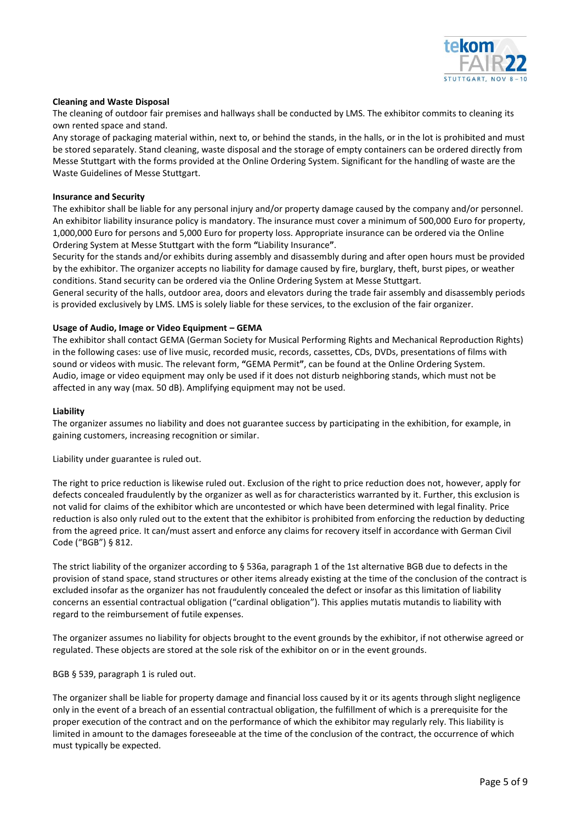

# **Cleaning and Waste Disposal**

The cleaning of outdoor fair premises and hallways shall be conducted by LMS. The exhibitor commits to cleaning its own rented space and stand.

Any storage of packaging material within, next to, or behind the stands, in the halls, or in the lot is prohibited and must be stored separately. Stand cleaning, waste disposal and the storage of empty containers can be ordered directly from Messe Stuttgart with the forms provided at the Online Ordering System. Significant for the handling of waste are the Waste Guidelines of Messe Stuttgart.

#### **Insurance and Security**

The exhibitor shall be liable for any personal injury and/or property damage caused by the company and/or personnel. An exhibitor liability insurance policy is mandatory. The insurance must cover a minimum of 500,000 Euro for property, 1,000,000 Euro for persons and 5,000 Euro for property loss. Appropriate insurance can be ordered via the Online Ordering System at Messe Stuttgart with the form **"**Liability Insurance**"**.

Security for the stands and/or exhibits during assembly and disassembly during and after open hours must be provided by the exhibitor. The organizer accepts no liability for damage caused by fire, burglary, theft, burst pipes, or weather conditions. Stand security can be ordered via the Online Ordering System at Messe Stuttgart.

General security of the halls, outdoor area, doors and elevators during the trade fair assembly and disassembly periods is provided exclusively by LMS. LMS is solely liable for these services, to the exclusion of the fair organizer.

## **Usage of Audio, Image or Video Equipment – GEMA**

The exhibitor shall contact GEMA (German Society for Musical Performing Rights and Mechanical Reproduction Rights) in the following cases: use of live music, recorded music, records, cassettes, CDs, DVDs, presentations of films with sound or videos with music. The relevant form, **"**GEMA Permit**"**, can be found at the Online Ordering System. Audio, image or video equipment may only be used if it does not disturb neighboring stands, which must not be affected in any way (max. 50 dB). Amplifying equipment may not be used.

#### **Liability**

The organizer assumes no liability and does not guarantee success by participating in the exhibition, for example, in gaining customers, increasing recognition or similar.

Liability under guarantee is ruled out.

The right to price reduction is likewise ruled out. Exclusion of the right to price reduction does not, however, apply for defects concealed fraudulently by the organizer as well as for characteristics warranted by it. Further, this exclusion is not valid for claims of the exhibitor which are uncontested or which have been determined with legal finality. Price reduction is also only ruled out to the extent that the exhibitor is prohibited from enforcing the reduction by deducting from the agreed price. It can/must assert and enforce any claims for recovery itself in accordance with German Civil Code ("BGB") § 812.

The strict liability of the organizer according to § 536a, paragraph 1 of the 1st alternative BGB due to defects in the provision of stand space, stand structures or other items already existing at the time of the conclusion of the contract is excluded insofar as the organizer has not fraudulently concealed the defect or insofar as this limitation of liability concerns an essential contractual obligation ("cardinal obligation"). This applies mutatis mutandis to liability with regard to the reimbursement of futile expenses.

The organizer assumes no liability for objects brought to the event grounds by the exhibitor, if not otherwise agreed or regulated. These objects are stored at the sole risk of the exhibitor on or in the event grounds.

BGB § 539, paragraph 1 is ruled out.

The organizer shall be liable for property damage and financial loss caused by it or its agents through slight negligence only in the event of a breach of an essential contractual obligation, the fulfillment of which is a prerequisite for the proper execution of the contract and on the performance of which the exhibitor may regularly rely. This liability is limited in amount to the damages foreseeable at the time of the conclusion of the contract, the occurrence of which must typically be expected.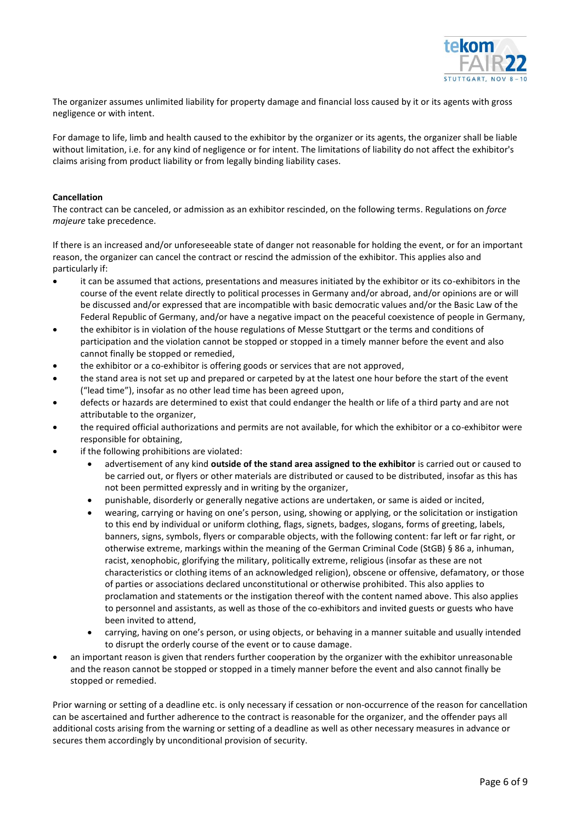

The organizer assumes unlimited liability for property damage and financial loss caused by it or its agents with gross negligence or with intent.

For damage to life, limb and health caused to the exhibitor by the organizer or its agents, the organizer shall be liable without limitation, i.e. for any kind of negligence or for intent. The limitations of liability do not affect the exhibitor's claims arising from product liability or from legally binding liability cases.

## **Cancellation**

The contract can be canceled, or admission as an exhibitor rescinded, on the following terms. Regulations on *force majeure* take precedence.

If there is an increased and/or unforeseeable state of danger not reasonable for holding the event, or for an important reason, the organizer can cancel the contract or rescind the admission of the exhibitor. This applies also and particularly if:

- it can be assumed that actions, presentations and measures initiated by the exhibitor or its co-exhibitors in the course of the event relate directly to political processes in Germany and/or abroad, and/or opinions are or will be discussed and/or expressed that are incompatible with basic democratic values and/or the Basic Law of the Federal Republic of Germany, and/or have a negative impact on the peaceful coexistence of people in Germany,
- the exhibitor is in violation of the house regulations of Messe Stuttgart or the terms and conditions of participation and the violation cannot be stopped or stopped in a timely manner before the event and also cannot finally be stopped or remedied,
- the exhibitor or a co-exhibitor is offering goods or services that are not approved,
- the stand area is not set up and prepared or carpeted by at the latest one hour before the start of the event ("lead time"), insofar as no other lead time has been agreed upon,
- defects or hazards are determined to exist that could endanger the health or life of a third party and are not attributable to the organizer,
- the required official authorizations and permits are not available, for which the exhibitor or a co-exhibitor were responsible for obtaining,
- if the following prohibitions are violated:
	- advertisement of any kind **outside of the stand area assigned to the exhibitor** is carried out or caused to be carried out, or flyers or other materials are distributed or caused to be distributed, insofar as this has not been permitted expressly and in writing by the organizer,
	- punishable, disorderly or generally negative actions are undertaken, or same is aided or incited,
	- wearing, carrying or having on one's person, using, showing or applying, or the solicitation or instigation to this end by individual or uniform clothing, flags, signets, badges, slogans, forms of greeting, labels, banners, signs, symbols, flyers or comparable objects, with the following content: far left or far right, or otherwise extreme, markings within the meaning of the German Criminal Code (StGB) § 86 a, inhuman, racist, xenophobic, glorifying the military, politically extreme, religious (insofar as these are not characteristics or clothing items of an acknowledged religion), obscene or offensive, defamatory, or those of parties or associations declared unconstitutional or otherwise prohibited. This also applies to proclamation and statements or the instigation thereof with the content named above. This also applies to personnel and assistants, as well as those of the co-exhibitors and invited guests or guests who have been invited to attend,
	- carrying, having on one's person, or using objects, or behaving in a manner suitable and usually intended to disrupt the orderly course of the event or to cause damage.
- an important reason is given that renders further cooperation by the organizer with the exhibitor unreasonable and the reason cannot be stopped or stopped in a timely manner before the event and also cannot finally be stopped or remedied.

Prior warning or setting of a deadline etc. is only necessary if cessation or non-occurrence of the reason for cancellation can be ascertained and further adherence to the contract is reasonable for the organizer, and the offender pays all additional costs arising from the warning or setting of a deadline as well as other necessary measures in advance or secures them accordingly by unconditional provision of security.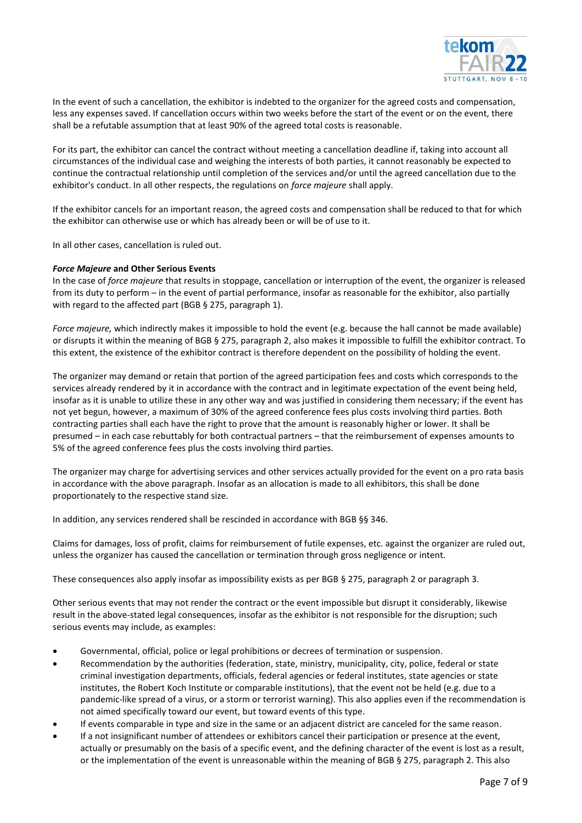

In the event of such a cancellation, the exhibitor is indebted to the organizer for the agreed costs and compensation, less any expenses saved. If cancellation occurs within two weeks before the start of the event or on the event, there shall be a refutable assumption that at least 90% of the agreed total costs is reasonable.

For its part, the exhibitor can cancel the contract without meeting a cancellation deadline if, taking into account all circumstances of the individual case and weighing the interests of both parties, it cannot reasonably be expected to continue the contractual relationship until completion of the services and/or until the agreed cancellation due to the exhibitor's conduct. In all other respects, the regulations on *force majeure* shall apply.

If the exhibitor cancels for an important reason, the agreed costs and compensation shall be reduced to that for which the exhibitor can otherwise use or which has already been or will be of use to it.

In all other cases, cancellation is ruled out.

# *Force Majeure* **and Other Serious Events**

In the case of *force majeure* that results in stoppage, cancellation or interruption of the event, the organizer is released from its duty to perform – in the event of partial performance, insofar as reasonable for the exhibitor, also partially with regard to the affected part (BGB § 275, paragraph 1).

*Force majeure,* which indirectly makes it impossible to hold the event (e.g. because the hall cannot be made available) or disrupts it within the meaning of BGB § 275, paragraph 2, also makes it impossible to fulfill the exhibitor contract. To this extent, the existence of the exhibitor contract is therefore dependent on the possibility of holding the event.

The organizer may demand or retain that portion of the agreed participation fees and costs which corresponds to the services already rendered by it in accordance with the contract and in legitimate expectation of the event being held, insofar as it is unable to utilize these in any other way and was justified in considering them necessary; if the event has not yet begun, however, a maximum of 30% of the agreed conference fees plus costs involving third parties. Both contracting parties shall each have the right to prove that the amount is reasonably higher or lower. It shall be presumed – in each case rebuttably for both contractual partners – that the reimbursement of expenses amounts to 5% of the agreed conference fees plus the costs involving third parties.

The organizer may charge for advertising services and other services actually provided for the event on a pro rata basis in accordance with the above paragraph. Insofar as an allocation is made to all exhibitors, this shall be done proportionately to the respective stand size.

In addition, any services rendered shall be rescinded in accordance with BGB §§ 346.

Claims for damages, loss of profit, claims for reimbursement of futile expenses, etc. against the organizer are ruled out, unless the organizer has caused the cancellation or termination through gross negligence or intent.

These consequences also apply insofar as impossibility exists as per BGB § 275, paragraph 2 or paragraph 3.

Other serious events that may not render the contract or the event impossible but disrupt it considerably, likewise result in the above-stated legal consequences, insofar as the exhibitor is not responsible for the disruption; such serious events may include, as examples:

- Governmental, official, police or legal prohibitions or decrees of termination or suspension.
- Recommendation by the authorities (federation, state, ministry, municipality, city, police, federal or state criminal investigation departments, officials, federal agencies or federal institutes, state agencies or state institutes, the Robert Koch Institute or comparable institutions), that the event not be held (e.g. due to a pandemic-like spread of a virus, or a storm or terrorist warning). This also applies even if the recommendation is not aimed specifically toward our event, but toward events of this type.
- If events comparable in type and size in the same or an adjacent district are canceled for the same reason.
- If a not insignificant number of attendees or exhibitors cancel their participation or presence at the event, actually or presumably on the basis of a specific event, and the defining character of the event is lost as a result, or the implementation of the event is unreasonable within the meaning of BGB § 275, paragraph 2. This also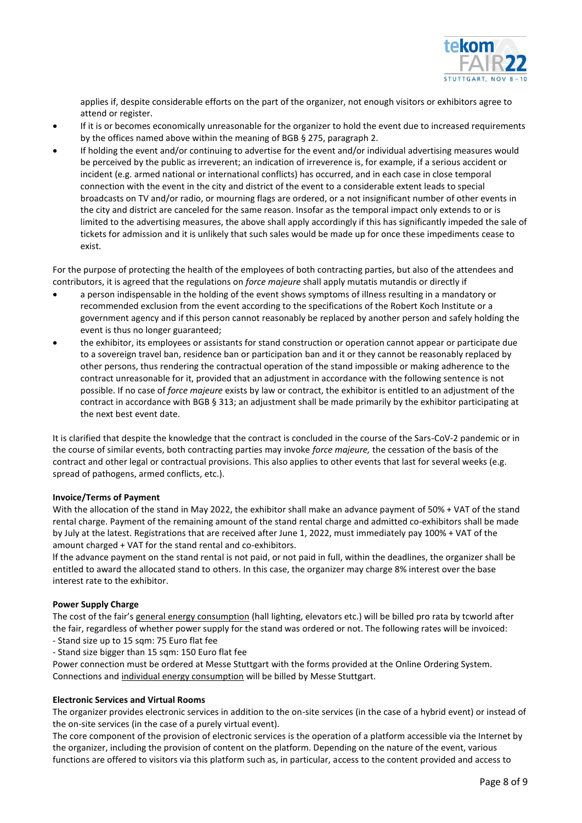

applies if, despite considerable efforts on the part of the organizer, not enough visitors or exhibitors agree to attend or register.

- If it is or becomes economically unreasonable for the organizer to hold the event due to increased requirements by the offices named above within the meaning of BGB § 275, paragraph 2.
- If holding the event and/or continuing to advertise for the event and/or individual advertising measures would be perceived by the public as irreverent; an indication of irreverence is, for example, if a serious accident or incident (e.g. armed national or international conflicts) has occurred, and in each case in close temporal connection with the event in the city and district of the event to a considerable extent leads to special broadcasts on TV and/or radio, or mourning flags are ordered, or a not insignificant number of other events in the city and district are canceled for the same reason. Insofar as the temporal impact only extends to or is limited to the advertising measures, the above shall apply accordingly if this has significantly impeded the sale of tickets for admission and it is unlikely that such sales would be made up for once these impediments cease to exist.

For the purpose of protecting the health of the employees of both contracting parties, but also of the attendees and contributors, it is agreed that the regulations on *force majeure* shall apply mutatis mutandis or directly if

- a person indispensable in the holding of the event shows symptoms of illness resulting in a mandatory or recommended exclusion from the event according to the specifications of the Robert Koch Institute or a government agency and if this person cannot reasonably be replaced by another person and safely holding the event is thus no longer guaranteed;
- the exhibitor, its employees or assistants for stand construction or operation cannot appear or participate due to a sovereign travel ban, residence ban or participation ban and it or they cannot be reasonably replaced by other persons, thus rendering the contractual operation of the stand impossible or making adherence to the contract unreasonable for it, provided that an adjustment in accordance with the following sentence is not possible. If no case of *force majeure* exists by law or contract, the exhibitor is entitled to an adjustment of the contract in accordance with BGB § 313; an adjustment shall be made primarily by the exhibitor participating at the next best event date.

It is clarified that despite the knowledge that the contract is concluded in the course of the Sars-CoV-2 pandemic or in the course of similar events, both contracting parties may invoke *force majeure,* the cessation of the basis of the contract and other legal or contractual provisions. This also applies to other events that last for several weeks (e.g. spread of pathogens, armed conflicts, etc.).

# **Invoice/Terms of Payment**

With the allocation of the stand in May 2022, the exhibitor shall make an advance payment of 50% + VAT of the stand rental charge. Payment of the remaining amount of the stand rental charge and admitted co-exhibitors shall be made by July at the latest. Registrations that are received after June 1, 2022, must immediately pay 100% + VAT of the amount charged + VAT for the stand rental and co-exhibitors.

lf the advance payment on the stand rental is not paid, or not paid in full, within the deadlines, the organizer shall be entitled to award the allocated stand to others. In this case, the organizer may charge 8% interest over the base interest rate to the exhibitor.

# **Power Supply Charge**

The cost of the fair's general energy consumption (hall lighting, elevators etc.) will be billed pro rata by tcworld after the fair, regardless of whether power supply for the stand was ordered or not. The following rates will be invoiced: - Stand size up to 15 sqm: 75 Euro flat fee

- Stand size bigger than 15 sqm: 150 Euro flat fee
- Power connection must be ordered at Messe Stuttgart with the forms provided at the Online Ordering System. Connections and individual energy consumption will be billed by Messe Stuttgart.

# **Electronic Services and Virtual Rooms**

The organizer provides electronic services in addition to the on-site services (in the case of a hybrid event) or instead of the on-site services (in the case of a purely virtual event).

The core component of the provision of electronic services is the operation of a platform accessible via the Internet by the organizer, including the provision of content on the platform. Depending on the nature of the event, various functions are offered to visitors via this platform such as, in particular, access to the content provided and access to